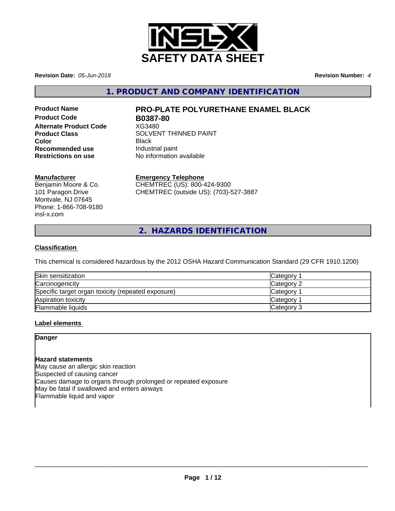

**Revision Date:** *05-Jun-2018* **Revision Number:** *4*

**1. PRODUCT AND COMPANY IDENTIFICATION**

**Product Code B0387-80 Alternate Product Code** XG3480 **Recommended use Industrial paint**<br> **Restrictions on use No information** 

# **Product Name PRO-PLATE POLYURETHANE ENAMEL BLACK**

**Product Class** SOLVENT THINNED PAINT **Color** Black **No information available** 

## **Manufacturer**

Benjamin Moore & Co. 101 Paragon Drive Montvale, NJ 07645 Phone: 1-866-708-9180 insl-x.com

# **Emergency Telephone**

CHEMTREC (US): 800-424-9300 CHEMTREC (outside US): (703)-527-3887

**2. HAZARDS IDENTIFICATION**

## **Classification**

This chemical is considered hazardous by the 2012 OSHA Hazard Communication Standard (29 CFR 1910.1200)

| Skin sensitization                                 | <b>Category</b> |
|----------------------------------------------------|-----------------|
| Carcinogenicity                                    | Category 2      |
| Specific target organ toxicity (repeated exposure) | <b>Category</b> |
| Aspiration toxicity                                | Category        |
| <b>Flammable liquids</b>                           | Category 3      |

## **Label elements**

## **Danger**

## **Hazard statements**

May cause an allergic skin reaction Suspected of causing cancer Causes damage to organs through prolonged or repeated exposure May be fatal if swallowed and enters airways Flammable liquid and vapor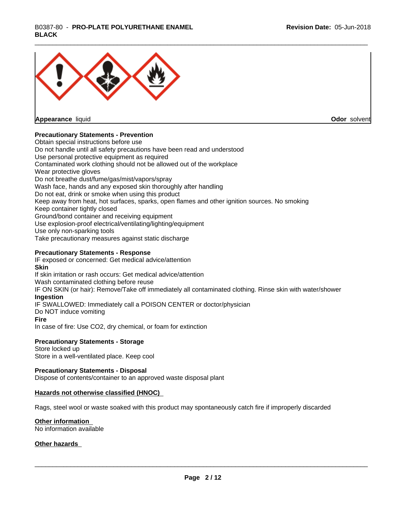# \_\_\_\_\_\_\_\_\_\_\_\_\_\_\_\_\_\_\_\_\_\_\_\_\_\_\_\_\_\_\_\_\_\_\_\_\_\_\_\_\_\_\_\_\_\_\_\_\_\_\_\_\_\_\_\_\_\_\_\_\_\_\_\_\_\_\_\_\_\_\_\_\_\_\_\_\_\_\_\_\_\_\_\_\_\_\_\_\_\_\_\_\_ B0387-80 - **PRO-PLATE POLYURETHANE ENAMEL BLACK**



**Appearance** liquid

**Odor** solvent

## **Precautionary Statements - Prevention**

Obtain special instructions before use Do not handle until all safety precautions have been read and understood Use personal protective equipment as required Contaminated work clothing should not be allowed out of the workplace Wear protective gloves Do not breathe dust/fume/gas/mist/vapors/spray Wash face, hands and any exposed skin thoroughly after handling Do not eat, drink or smoke when using this product Keep away from heat, hot surfaces, sparks, open flames and other ignition sources. No smoking Keep container tightly closed Ground/bond container and receiving equipment Use explosion-proof electrical/ventilating/lighting/equipment Use only non-sparking tools Take precautionary measures against static discharge

#### **Precautionary Statements - Response**

IF exposed or concerned: Get medical advice/attention **Skin** If skin irritation or rash occurs: Get medical advice/attention Wash contaminated clothing before reuse IF ON SKIN (or hair): Remove/Take off immediately all contaminated clothing. Rinse skin with water/shower **Ingestion** IF SWALLOWED: Immediately call a POISON CENTER or doctor/physician Do NOT induce vomiting **Fire** In case of fire: Use CO2, dry chemical, or foam for extinction

#### **Precautionary Statements - Storage**

Store locked up Store in a well-ventilated place. Keep cool

#### **Precautionary Statements - Disposal**

Dispose of contents/container to an approved waste disposal plant

#### **Hazards not otherwise classified (HNOC)**

Rags, steel wool or waste soaked with this product may spontaneously catch fire if improperly discarded

#### **Other information**

No information available

#### **Other hazards**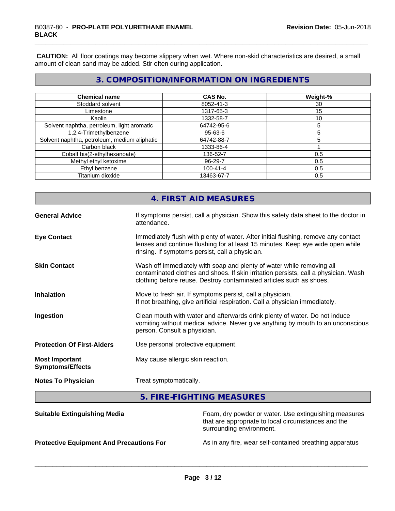**CAUTION:** All floor coatings may become slippery when wet. Where non-skid characteristics are desired, a small amount of clean sand may be added. Stir often during application.

# **3. COMPOSITION/INFORMATION ON INGREDIENTS**

| <b>Chemical name</b>                         | <b>CAS No.</b> | Weight-% |
|----------------------------------------------|----------------|----------|
| Stoddard solvent                             | 8052-41-3      | 30       |
| Limestone                                    | 1317-65-3      | 15       |
| Kaolin                                       | 1332-58-7      | 10       |
| Solvent naphtha, petroleum, light aromatic   | 64742-95-6     |          |
| 1,2,4-Trimethylbenzene                       | 95-63-6        |          |
| Solvent naphtha, petroleum, medium aliphatic | 64742-88-7     |          |
| Carbon black                                 | 1333-86-4      |          |
| Cobalt bis(2-ethylhexanoate)                 | 136-52-7       | 0.5      |
| Methyl ethyl ketoxime                        | $96 - 29 - 7$  | 0.5      |
| Ethyl benzene                                | $100 - 41 - 4$ | 0.5      |
| Titanium dioxide                             | 13463-67-7     | 0.5      |

|                                                  | 4. FIRST AID MEASURES                                                                                                                                                                                                               |
|--------------------------------------------------|-------------------------------------------------------------------------------------------------------------------------------------------------------------------------------------------------------------------------------------|
| <b>General Advice</b>                            | If symptoms persist, call a physician. Show this safety data sheet to the doctor in<br>attendance.                                                                                                                                  |
| <b>Eye Contact</b>                               | Immediately flush with plenty of water. After initial flushing, remove any contact<br>lenses and continue flushing for at least 15 minutes. Keep eye wide open while<br>rinsing. If symptoms persist, call a physician.             |
| <b>Skin Contact</b>                              | Wash off immediately with soap and plenty of water while removing all<br>contaminated clothes and shoes. If skin irritation persists, call a physician. Wash<br>clothing before reuse. Destroy contaminated articles such as shoes. |
| <b>Inhalation</b>                                | Move to fresh air. If symptoms persist, call a physician.<br>If not breathing, give artificial respiration. Call a physician immediately.                                                                                           |
| Ingestion                                        | Clean mouth with water and afterwards drink plenty of water. Do not induce<br>vomiting without medical advice. Never give anything by mouth to an unconscious<br>person. Consult a physician.                                       |
| <b>Protection Of First-Aiders</b>                | Use personal protective equipment.                                                                                                                                                                                                  |
| <b>Most Important</b><br><b>Symptoms/Effects</b> | May cause allergic skin reaction.                                                                                                                                                                                                   |
| <b>Notes To Physician</b>                        | Treat symptomatically.                                                                                                                                                                                                              |
|                                                  |                                                                                                                                                                                                                                     |

**5. FIRE-FIGHTING MEASURES**

| <b>Suitable Extinguishing Media</b>             | Foam, dry powder or water. Use extinguishing measures<br>that are appropriate to local circumstances and the<br>surrounding environment. |
|-------------------------------------------------|------------------------------------------------------------------------------------------------------------------------------------------|
| <b>Protective Equipment And Precautions For</b> | As in any fire, wear self-contained breathing apparatus                                                                                  |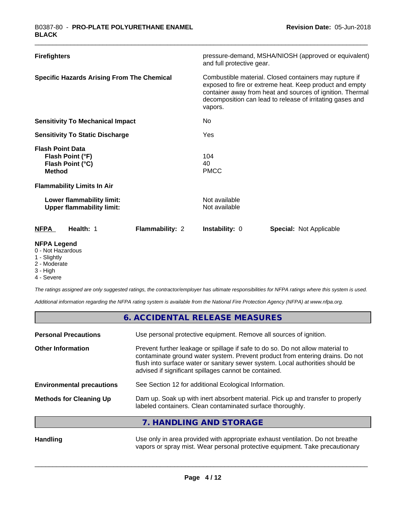| <b>Firefighters</b>                                                              | pressure-demand, MSHA/NIOSH (approved or equivalent)<br>and full protective gear.                                                                                                                                                                      |
|----------------------------------------------------------------------------------|--------------------------------------------------------------------------------------------------------------------------------------------------------------------------------------------------------------------------------------------------------|
| <b>Specific Hazards Arising From The Chemical</b>                                | Combustible material. Closed containers may rupture if<br>exposed to fire or extreme heat. Keep product and empty<br>container away from heat and sources of ignition. Thermal<br>decomposition can lead to release of irritating gases and<br>vapors. |
| <b>Sensitivity To Mechanical Impact</b>                                          | No.                                                                                                                                                                                                                                                    |
| <b>Sensitivity To Static Discharge</b>                                           | Yes                                                                                                                                                                                                                                                    |
| <b>Flash Point Data</b><br>Flash Point (°F)<br>Flash Point (°C)<br><b>Method</b> | 104<br>40<br><b>PMCC</b>                                                                                                                                                                                                                               |
| <b>Flammability Limits In Air</b>                                                |                                                                                                                                                                                                                                                        |
| Lower flammability limit:<br><b>Upper flammability limit:</b>                    | Not available<br>Not available                                                                                                                                                                                                                         |
| Flammability: 2<br><b>NFPA</b><br>Health: 1                                      | <b>Instability: 0</b><br><b>Special: Not Applicable</b>                                                                                                                                                                                                |
| <b>NFPA Legend</b><br>0 - Not Hazardous                                          |                                                                                                                                                                                                                                                        |

- 
- 1 Slightly
- 2 Moderate
- 3 High

г

4 - Severe

*The ratings assigned are only suggested ratings, the contractor/employer has ultimate responsibilities for NFPA ratings where this system is used.*

*Additional information regarding the NFPA rating system is available from the National Fire Protection Agency (NFPA) at www.nfpa.org.*

|                                  | 6. ACCIDENTAL RELEASE MEASURES                                                                                                                                                                                                                                                                             |
|----------------------------------|------------------------------------------------------------------------------------------------------------------------------------------------------------------------------------------------------------------------------------------------------------------------------------------------------------|
| <b>Personal Precautions</b>      | Use personal protective equipment. Remove all sources of ignition.                                                                                                                                                                                                                                         |
| <b>Other Information</b>         | Prevent further leakage or spillage if safe to do so. Do not allow material to<br>contaminate ground water system. Prevent product from entering drains. Do not<br>flush into surface water or sanitary sewer system. Local authorities should be<br>advised if significant spillages cannot be contained. |
| <b>Environmental precautions</b> | See Section 12 for additional Ecological Information.                                                                                                                                                                                                                                                      |
| <b>Methods for Cleaning Up</b>   | Dam up. Soak up with inert absorbent material. Pick up and transfer to properly<br>labeled containers. Clean contaminated surface thoroughly.                                                                                                                                                              |
|                                  | 7. HANDLING AND STORAGE                                                                                                                                                                                                                                                                                    |
| <b>Handling</b>                  | Use only in area provided with appropriate exhaust ventilation. Do not breathe                                                                                                                                                                                                                             |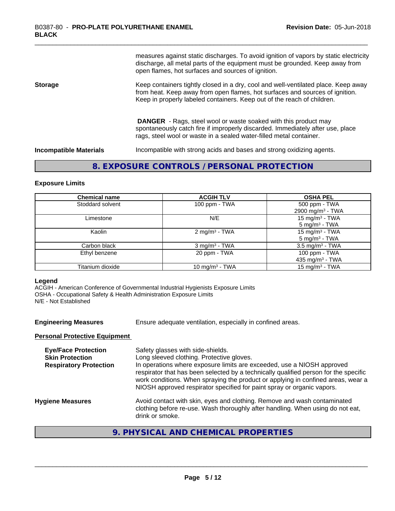measures against static discharges. To avoid ignition of vapors by static electricity discharge, all metal parts of the equipment must be grounded. Keep away from open flames, hot surfaces and sources of ignition.

#### **Storage** Keep containers tightly closed in a dry, cool and well-ventilated place. Keep away from heat. Keep away from open flames, hot surfaces and sources of ignition. Keep in properly labeled containers. Keep out of the reach of children.

 **DANGER** - Rags, steel wool or waste soaked with this product may spontaneously catch fire if improperly discarded. Immediately after use, place rags, steel wool or waste in a sealed water-filled metal container.

**Incompatible Materials** Incompatible with strong acids and bases and strong oxidizing agents.

# **8. EXPOSURE CONTROLS / PERSONAL PROTECTION**

#### **Exposure Limits**

| <b>Chemical name</b> | <b>ACGIH TLV</b>            | <b>OSHA PEL</b>                               |
|----------------------|-----------------------------|-----------------------------------------------|
| Stoddard solvent     | 100 ppm - TWA               | 500 ppm - TWA<br>2900 mg/m <sup>3</sup> - TWA |
| Limestone            | N/E                         | 15 mg/m $3$ - TWA<br>$5 \text{ mg/m}^3$ - TWA |
| Kaolin               | 2 mg/m <sup>3</sup> - TWA   | 15 mg/m $3$ - TWA<br>$5 \text{ mg/m}^3$ - TWA |
| Carbon black         | $3$ mg/m <sup>3</sup> - TWA | $3.5 \text{ mg/m}^3$ - TWA                    |
| Ethyl benzene        | 20 ppm - TWA                | 100 ppm - TWA<br>435 mg/m $3$ - TWA           |
| Titanium dioxide     | 10 mg/m <sup>3</sup> - TWA  | 15 mg/m $3$ - TWA                             |

#### **Legend**

ACGIH - American Conference of Governmental Industrial Hygienists Exposure Limits OSHA - Occupational Safety & Health Administration Exposure Limits N/E - Not Established

**Engineering Measures** Ensure adequate ventilation, especially in confined areas.

#### **Personal Protective Equipment**

| <b>Eye/Face Protection</b><br><b>Skin Protection</b><br><b>Respiratory Protection</b> | Safety glasses with side-shields.<br>Long sleeved clothing. Protective gloves.<br>In operations where exposure limits are exceeded, use a NIOSH approved<br>respirator that has been selected by a technically qualified person for the specific<br>work conditions. When spraying the product or applying in confined areas, wear a<br>NIOSH approved respirator specified for paint spray or organic vapors. |
|---------------------------------------------------------------------------------------|----------------------------------------------------------------------------------------------------------------------------------------------------------------------------------------------------------------------------------------------------------------------------------------------------------------------------------------------------------------------------------------------------------------|
| <b>Hygiene Measures</b>                                                               | Avoid contact with skin, eyes and clothing. Remove and wash contaminated<br>clothing before re-use. Wash thoroughly after handling. When using do not eat,<br>drink or smoke.                                                                                                                                                                                                                                  |
|                                                                                       |                                                                                                                                                                                                                                                                                                                                                                                                                |

# **9. PHYSICAL AND CHEMICAL PROPERTIES**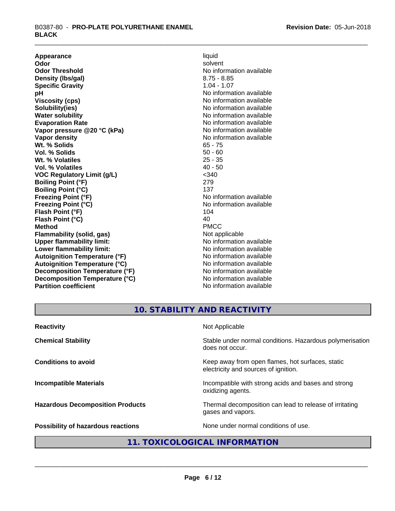**Appearance** liquid **Odor** liquid **Contract Contract Contract Contract Contract Contract Contract Contract Contract Contract Contract Contract Contract Contract Contract Contract Contract Contract Contract Contract Contrac Odor** solvent **Odor Threshold** No information available **Density (Ibs/gal)** 8.75 - 8.85<br> **Specific Gravity** 8.75 - 8.85 **Specific Gravity**<br>pH **pH**<br>
Viscosity (cps) The Contract of the Contract of No information available<br>
No information available **Solubility(ies)** No information available in the solution of the solution of the solution available in the solution of the solution of the solution of the solution of the solution of the solution of the solution of the so **Water solubility** No information available **Evaporation Rate No information available No information available Vapor pressure @20 °C (kPa)** No information available **Vapor density No information available No** information available **Wt. % Solids** 65 - 75 **Vol. % Solids** 50 - 60<br> **Wt. % Volatiles** 25 - 35 Wt. % Volatiles **Vol. % Volatiles** 40 - 50 **VOC Regulatory Limit (g/L)** <340 **Boiling Point (°F)** 279 **Boiling Point (°C)** 137<br> **Preezing Point (°F)** No interval 137 **Freezing Point (°C)** The state of the Monometer of Noinformation available **Flash Point (°F)** 104 **Flash Point (°C)** 40 **Method** PMCC **Flammability (solid, gas)**<br> **Commability limit:**<br>
Upper flammability limit:<br>
Wo information available **Upper flammability limit: Lower flammability limit:** No information available **Lower** flammability limit: **Autoignition Temperature (°F)** No information available **Autoignition Temperature (°C)** No information available **Decomposition Temperature (°F)** No information available **Decomposition Temperature (°C)** No information available **Partition coefficient** No information available

**Viscosity (cps)** No information available **No information available** 

# **10. STABILITY AND REACTIVITY**

| <b>Reactivity</b>                         | Not Applicable                                                                           |
|-------------------------------------------|------------------------------------------------------------------------------------------|
| <b>Chemical Stability</b>                 | Stable under normal conditions. Hazardous polymerisation<br>does not occur.              |
| <b>Conditions to avoid</b>                | Keep away from open flames, hot surfaces, static<br>electricity and sources of ignition. |
| <b>Incompatible Materials</b>             | Incompatible with strong acids and bases and strong<br>oxidizing agents.                 |
| <b>Hazardous Decomposition Products</b>   | Thermal decomposition can lead to release of irritating<br>gases and vapors.             |
| <b>Possibility of hazardous reactions</b> | None under normal conditions of use.                                                     |

# **11. TOXICOLOGICAL INFORMATION**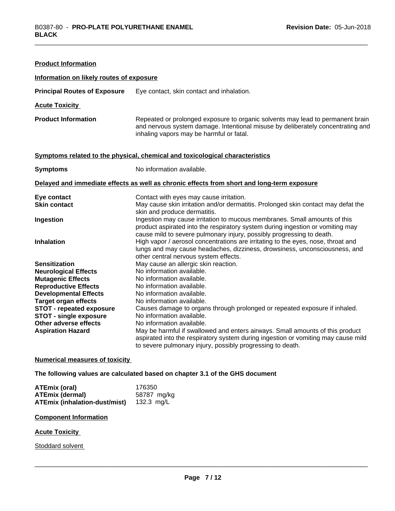| <b>Product Information</b>                              |                                                                                                                                                                                                                                      |
|---------------------------------------------------------|--------------------------------------------------------------------------------------------------------------------------------------------------------------------------------------------------------------------------------------|
| Information on likely routes of exposure                |                                                                                                                                                                                                                                      |
| <b>Principal Routes of Exposure</b>                     | Eye contact, skin contact and inhalation.                                                                                                                                                                                            |
| <b>Acute Toxicity</b>                                   |                                                                                                                                                                                                                                      |
| <b>Product Information</b>                              | Repeated or prolonged exposure to organic solvents may lead to permanent brain<br>and nervous system damage. Intentional misuse by deliberately concentrating and<br>inhaling vapors may be harmful or fatal.                        |
|                                                         | Symptoms related to the physical, chemical and toxicological characteristics                                                                                                                                                         |
| <b>Symptoms</b>                                         | No information available.                                                                                                                                                                                                            |
|                                                         | Delayed and immediate effects as well as chronic effects from short and long-term exposure                                                                                                                                           |
| Eye contact<br><b>Skin contact</b>                      | Contact with eyes may cause irritation.<br>May cause skin irritation and/or dermatitis. Prolonged skin contact may defat the<br>skin and produce dermatitis.                                                                         |
| Ingestion                                               | Ingestion may cause irritation to mucous membranes. Small amounts of this<br>product aspirated into the respiratory system during ingestion or vomiting may<br>cause mild to severe pulmonary injury, possibly progressing to death. |
| <b>Inhalation</b>                                       | High vapor / aerosol concentrations are irritating to the eyes, nose, throat and<br>lungs and may cause headaches, dizziness, drowsiness, unconsciousness, and<br>other central nervous system effects.                              |
| <b>Sensitization</b>                                    | May cause an allergic skin reaction.                                                                                                                                                                                                 |
| <b>Neurological Effects</b>                             | No information available.                                                                                                                                                                                                            |
| <b>Mutagenic Effects</b><br><b>Reproductive Effects</b> | No information available.<br>No information available.                                                                                                                                                                               |
| <b>Developmental Effects</b>                            | No information available.                                                                                                                                                                                                            |
| <b>Target organ effects</b>                             | No information available.                                                                                                                                                                                                            |
| STOT - repeated exposure                                | Causes damage to organs through prolonged or repeated exposure if inhaled.                                                                                                                                                           |
| <b>STOT - single exposure</b>                           | No information available.                                                                                                                                                                                                            |
| Other adverse effects                                   | No information available.                                                                                                                                                                                                            |
| <b>Aspiration Hazard</b>                                | May be harmful if swallowed and enters airways. Small amounts of this product<br>aspirated into the respiratory system during ingestion or vomiting may cause mild<br>to severe pulmonary injury, possibly progressing to death.     |

#### **Numerical measures of toxicity**

**The following values are calculated based on chapter 3.1 of the GHS document**

| ATEmix (oral)                        | 176350      |
|--------------------------------------|-------------|
| <b>ATEmix (dermal)</b>               | 58787 mg/kg |
| <b>ATEmix (inhalation-dust/mist)</b> | 132.3 mg/L  |

#### **Component Information**

#### **Acute Toxicity**

Stoddard solvent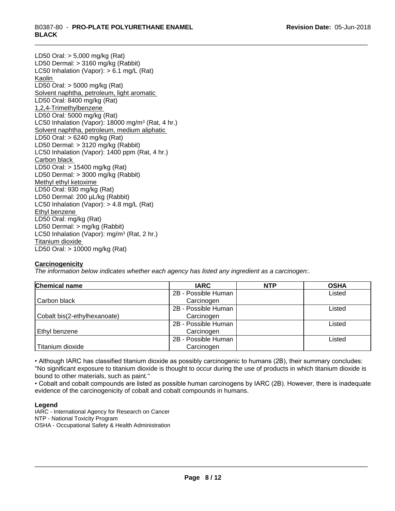LD50 Oral: > 5,000 mg/kg (Rat) LD50 Dermal: > 3160 mg/kg (Rabbit) LC50 Inhalation (Vapor): > 6.1 mg/L (Rat) Kaolin LD50 Oral: > 5000 mg/kg (Rat) Solvent naphtha, petroleum, light aromatic LD50 Oral: 8400 mg/kg (Rat) 1,2,4-Trimethylbenzene LD50 Oral: 5000 mg/kg (Rat) LC50 Inhalation (Vapor): 18000 mg/m<sup>3</sup> (Rat, 4 hr.) Solvent naphtha, petroleum, medium aliphatic LD50 Oral: > 6240 mg/kg (Rat) LD50 Dermal: > 3120 mg/kg (Rabbit) LC50 Inhalation (Vapor): 1400 ppm (Rat, 4 hr.) Carbon black LD50 Oral: > 15400 mg/kg (Rat) LD50 Dermal: > 3000 mg/kg (Rabbit) Methyl ethyl ketoxime LD50 Oral: 930 mg/kg (Rat) LD50 Dermal: 200 µL/kg (Rabbit) LC50 Inhalation (Vapor): > 4.8 mg/L (Rat) Ethyl benzene LD50 Oral: mg/kg (Rat) LD50 Dermal: > mg/kg (Rabbit) LC50 Inhalation (Vapor): mg/m<sup>3</sup> (Rat, 2 hr.) Titanium dioxide LD50 Oral: > 10000 mg/kg (Rat)

# **Carcinogenicity**

*The information below indicateswhether each agency has listed any ingredient as a carcinogen:.*

| <b>Chemical name</b>         | <b>IARC</b>         | <b>NTP</b> | <b>OSHA</b> |
|------------------------------|---------------------|------------|-------------|
|                              | 2B - Possible Human |            | Listed      |
| Carbon black                 | Carcinogen          |            |             |
|                              | 2B - Possible Human |            | Listed      |
| Cobalt bis(2-ethylhexanoate) | Carcinogen          |            |             |
|                              | 2B - Possible Human |            | Listed      |
| Ethyl benzene                | Carcinogen          |            |             |
|                              | 2B - Possible Human |            | Listed      |
| Titanium dioxide             | Carcinogen          |            |             |

• Although IARC has classified titanium dioxide as possibly carcinogenic to humans (2B), their summary concludes: "No significant exposure to titanium dioxide is thought to occur during the use of products in which titanium dioxide is bound to other materials, such as paint."

• Cobalt and cobalt compounds are listed as possible human carcinogens by IARC (2B). However, there is inadequate evidence of the carcinogenicity of cobalt and cobalt compounds in humans.

#### **Legend**

IARC - International Agency for Research on Cancer NTP - National Toxicity Program OSHA - Occupational Safety & Health Administration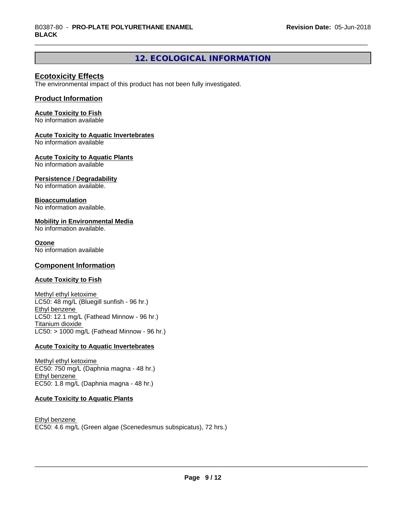# **12. ECOLOGICAL INFORMATION**

# **Ecotoxicity Effects**

The environmental impact of this product has not been fully investigated.

## **Product Information**

#### **Acute Toxicity to Fish**

No information available

#### **Acute Toxicity to Aquatic Invertebrates**

No information available

#### **Acute Toxicity to Aquatic Plants**

No information available

## **Persistence / Degradability**

No information available.

#### **Bioaccumulation**

No information available.

#### **Mobility in Environmental Media**

No information available.

#### **Ozone**

No information available

## **Component Information**

## **Acute Toxicity to Fish**

Methyl ethyl ketoxime LC50: 48 mg/L (Bluegill sunfish - 96 hr.) Ethyl benzene LC50: 12.1 mg/L (Fathead Minnow - 96 hr.) Titanium dioxide  $LC50:$  > 1000 mg/L (Fathead Minnow - 96 hr.)

#### **Acute Toxicity to Aquatic Invertebrates**

Methyl ethyl ketoxime EC50: 750 mg/L (Daphnia magna - 48 hr.) Ethyl benzene EC50: 1.8 mg/L (Daphnia magna - 48 hr.)

## **Acute Toxicity to Aquatic Plants**

Ethyl benzene EC50: 4.6 mg/L (Green algae (Scenedesmus subspicatus), 72 hrs.)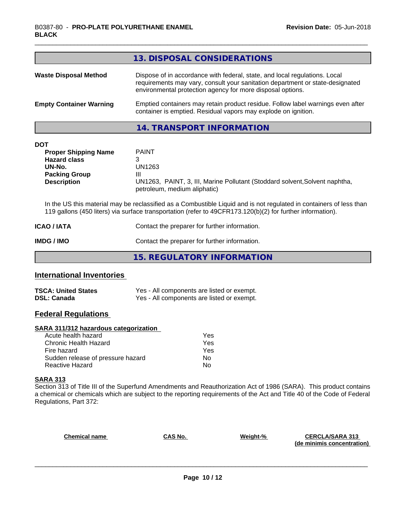|                                                                                                                          | 13. DISPOSAL CONSIDERATIONS                                                                                                                                                                                                       |
|--------------------------------------------------------------------------------------------------------------------------|-----------------------------------------------------------------------------------------------------------------------------------------------------------------------------------------------------------------------------------|
| <b>Waste Disposal Method</b>                                                                                             | Dispose of in accordance with federal, state, and local regulations. Local<br>requirements may vary, consult your sanitation department or state-designated<br>environmental protection agency for more disposal options.         |
| <b>Empty Container Warning</b>                                                                                           | Emptied containers may retain product residue. Follow label warnings even after<br>container is emptied. Residual vapors may explode on ignition.                                                                                 |
|                                                                                                                          | <b>14. TRANSPORT INFORMATION</b>                                                                                                                                                                                                  |
| <b>DOT</b><br><b>Proper Shipping Name</b><br><b>Hazard class</b><br>UN-No.<br><b>Packing Group</b><br><b>Description</b> | <b>PAINT</b><br>3<br>UN1263<br>Ш<br>UN1263, PAINT, 3, III, Marine Pollutant (Stoddard solvent, Solvent naphtha,<br>petroleum, medium aliphatic)                                                                                   |
|                                                                                                                          | In the US this material may be reclassified as a Combustible Liquid and is not regulated in containers of less than<br>119 gallons (450 liters) via surface transportation (refer to 49CFR173.120(b)(2) for further information). |
| <b>ICAO / IATA</b>                                                                                                       | Contact the preparer for further information.                                                                                                                                                                                     |
|                                                                                                                          |                                                                                                                                                                                                                                   |

# **IMDG / IMO** Contact the preparer for further information.

**15. REGULATORY INFORMATION**

# **International Inventories**

| <b>TSCA: United States</b> | Yes - All components are listed or exempt. |
|----------------------------|--------------------------------------------|
| <b>DSL: Canada</b>         | Yes - All components are listed or exempt. |

# **Federal Regulations**

# **SARA 311/312 hazardous categorization**

| Acute health hazard               | Yes |
|-----------------------------------|-----|
| Chronic Health Hazard             | Yes |
| Fire hazard                       | Yes |
| Sudden release of pressure hazard | Nο  |
| Reactive Hazard                   | N٥  |

#### **SARA 313**

Section 313 of Title III of the Superfund Amendments and Reauthorization Act of 1986 (SARA). This product contains a chemical or chemicals which are subject to the reporting requirements of the Act and Title 40 of the Code of Federal Regulations, Part 372:

| <b>Chemical name</b> | CAS No. | Weight-% | <b>CERCLA/SARA 313</b><br>(de minimis concentration) |
|----------------------|---------|----------|------------------------------------------------------|
|                      |         |          |                                                      |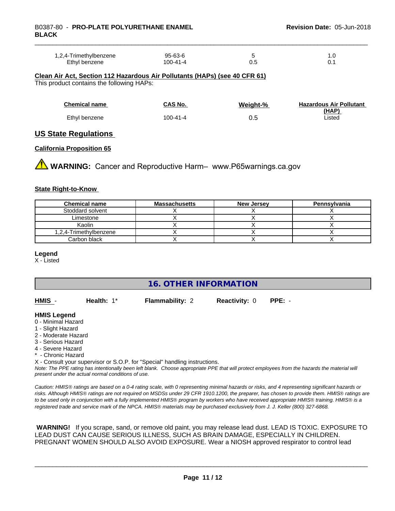| 1,2,4-Trimethylbenzene | 95-63-6  |     | ب      |  |
|------------------------|----------|-----|--------|--|
| Ethyl benzene          | 100-41-4 | υ.c | . U. . |  |

**Clean Air Act,Section 112 Hazardous Air Pollutants (HAPs) (see 40 CFR 61)** This product contains the following HAPs:

| <b>Chemical name</b> | CAS No.  | Weight-% | <b>Hazardous Air Pollutant</b><br>(HAP) |
|----------------------|----------|----------|-----------------------------------------|
| Ethyl benzene        | 100-41-4 | 0.5      | Listed                                  |

#### **US State Regulations**

#### **California Proposition 65**

**AN** WARNING: Cancer and Reproductive Harm– www.P65warnings.ca.gov

#### **State Right-to-Know**

| <b>Chemical name</b>   | <b>Massachusetts</b> | <b>New Jersey</b> | Pennsylvania |
|------------------------|----------------------|-------------------|--------------|
| Stoddard solvent       |                      |                   |              |
| Limestone              |                      |                   |              |
| Kaolin                 |                      |                   |              |
| 1,2,4-Trimethylbenzene |                      |                   |              |
| Carbon black           |                      |                   |              |

#### **Legend**

X - Listed

# **16. OTHER INFORMATION**

| HMIS | Health: $1^*$ | <b>Flammability: 2</b> | <b>Reactivity: 0 PPE: -</b> |  |
|------|---------------|------------------------|-----------------------------|--|
|      |               |                        |                             |  |

#### **HMIS Legend**

- 0 Minimal Hazard
- 1 Slight Hazard
- 2 Moderate Hazard
- 3 Serious Hazard
- 4 Severe Hazard
- \* Chronic Hazard

X - Consult your supervisor or S.O.P. for "Special" handling instructions.

*Note: The PPE rating has intentionally been left blank. Choose appropriate PPE that will protect employees from the hazards the material will present under the actual normal conditions of use.*

*Caution: HMISÒ ratings are based on a 0-4 rating scale, with 0 representing minimal hazards or risks, and 4 representing significant hazards or risks. Although HMISÒ ratings are not required on MSDSs under 29 CFR 1910.1200, the preparer, has chosen to provide them. HMISÒ ratings are to be used only in conjunction with a fully implemented HMISÒ program by workers who have received appropriate HMISÒ training. HMISÒ is a registered trade and service mark of the NPCA. HMISÒ materials may be purchased exclusively from J. J. Keller (800) 327-6868.*

 **WARNING!** If you scrape, sand, or remove old paint, you may release lead dust. LEAD IS TOXIC. EXPOSURE TO LEAD DUST CAN CAUSE SERIOUS ILLNESS, SUCH AS BRAIN DAMAGE, ESPECIALLY IN CHILDREN. PREGNANT WOMEN SHOULD ALSO AVOID EXPOSURE.Wear a NIOSH approved respirator to control lead